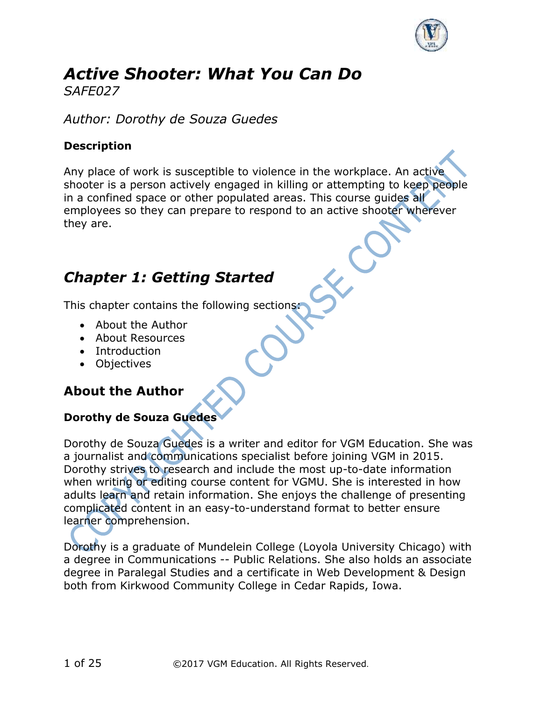

#### *Active Shooter: What You Can Do SAFE027*

*Author: Dorothy de Souza Guedes*

#### **Description**

Any place of work is susceptible to violence in the workplace. An active shooter is a person actively engaged in killing or attempting to keep people in a confined space or other populated areas. This course guides all employees so they can prepare to respond to an active shooter wherever they are.

## *Chapter 1: Getting Started*

This chapter contains the following sections:

- About the Author
- About Resources
- Introduction
- Objectives

## **About the Author**

#### **Dorothy de Souza Guedes**

Dorothy de Souza Guedes is a writer and editor for VGM Education. She was a journalist and communications specialist before joining VGM in 2015. Dorothy strives to research and include the most up-to-date information when writing or editing course content for VGMU. She is interested in how adults learn and retain information. She enjoys the challenge of presenting complicated content in an easy-to-understand format to better ensure learner comprehension.

Dorothy is a graduate of Mundelein College (Loyola University Chicago) with a degree in Communications -- Public Relations. She also holds an associate degree in Paralegal Studies and a certificate in Web Development & Design both from Kirkwood Community College in Cedar Rapids, Iowa.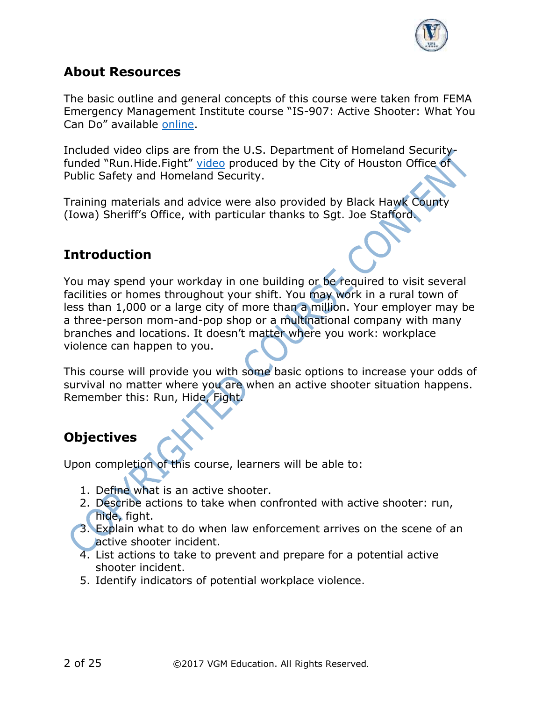

#### **About Resources**

The basic outline and general concepts of this course were taken from FEMA Emergency Management Institute course "IS-907: Active Shooter: What You Can Do" available [online.](https://training.fema.gov/emi.aspx)

Included video clips are from the U.S. Department of Homeland Securityfunded "Run.Hide.Fight" [video](http://www.readyhoustontx.gov/videos.html) produced by the City of Houston Office of Public Safety and Homeland Security.

Training materials and advice were also provided by Black Hawk County (Iowa) Sheriff's Office, with particular thanks to Sgt. Joe Stafford.

## **Introduction**

You may spend your workday in one building or be required to visit several facilities or homes throughout your shift. You may work in a rural town of less than 1,000 or a large city of more than a million. Your employer may be a three-person mom-and-pop shop or a multinational company with many branches and locations. It doesn't matter where you work: workplace violence can happen to you.

This course will provide you with some basic options to increase your odds of survival no matter where you are when an active shooter situation happens. Remember this: Run, Hide, Fight.

## **Objectives**

Upon completion of this course, learners will be able to:

- 1. Define what is an active shooter.
- 2. Describe actions to take when confronted with active shooter: run, hide, fight.
- 3. Explain what to do when law enforcement arrives on the scene of an active shooter incident.
- 4. List actions to take to prevent and prepare for a potential active shooter incident.
- 5. Identify indicators of potential workplace violence.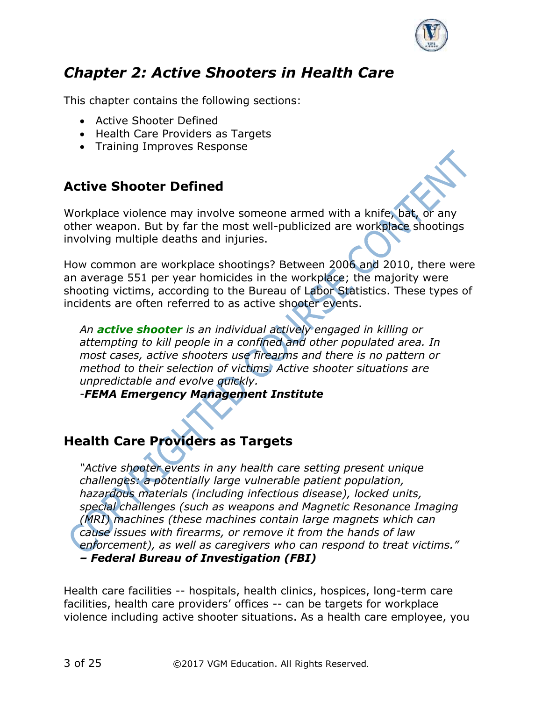

# *Chapter 2: Active Shooters in Health Care*

This chapter contains the following sections:

- Active Shooter Defined
- Health Care Providers as Targets
- Training Improves Response

## **Active Shooter Defined**

Workplace violence may involve someone armed with a knife, bat, or any other weapon. But by far the most well-publicized are workplace shootings involving multiple deaths and injuries.

How common are workplace shootings? Between 2006 and 2010, there were an average 551 per year homicides in the workplace; the majority were shooting victims, according to the Bureau of Labor Statistics. These types of incidents are often referred to as active shooter events.

*An active shooter is an individual actively engaged in killing or attempting to kill people in a confined and other populated area. In most cases, active shooters use firearms and there is no pattern or method to their selection of victims. Active shooter situations are unpredictable and evolve quickly.*

*-FEMA Emergency Management Institute*

#### **Health Care Providers as Targets**

*"Active shooter events in any health care setting present unique challenges: a potentially large vulnerable patient population, hazardous materials (including infectious disease), locked units, special challenges (such as weapons and Magnetic Resonance Imaging (MRI) machines (these machines contain large magnets which can cause issues with firearms, or remove it from the hands of law enforcement), as well as caregivers who can respond to treat victims." – Federal Bureau of Investigation (FBI)*

Health care facilities -- hospitals, health clinics, hospices, long-term care facilities, health care providers' offices -- can be targets for workplace violence including active shooter situations. As a health care employee, you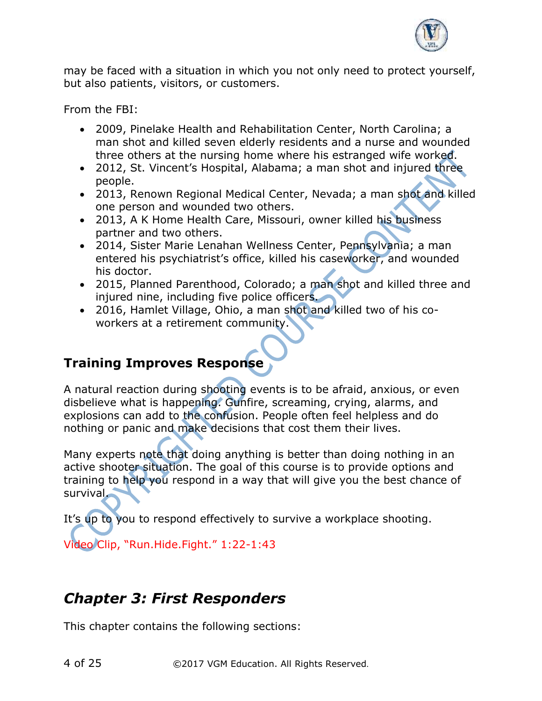

may be faced with a situation in which you not only need to protect yourself, but also patients, visitors, or customers.

From the FBI:

- 2009, Pinelake Health and Rehabilitation Center, North Carolina; a man shot and killed seven elderly residents and a nurse and wounded three others at the nursing home where his estranged wife worked.
- 2012, St. Vincent's Hospital, Alabama; a man shot and injured three people.
- 2013, Renown Regional Medical Center, Nevada; a man shot and killed one person and wounded two others.
- 2013, A K Home Health Care, Missouri, owner killed his business partner and two others.
- 2014, Sister Marie Lenahan Wellness Center, Pennsylvania; a man entered his psychiatrist's office, killed his caseworker, and wounded his doctor.
- 2015, Planned Parenthood, Colorado; a man shot and killed three and injured nine, including five police officers.
- 2016, Hamlet Village, Ohio, a man shot and killed two of his coworkers at a retirement community.

## **Training Improves Response**

A natural reaction during shooting events is to be afraid, anxious, or even disbelieve what is happening. Gunfire, screaming, crying, alarms, and explosions can add to the confusion. People often feel helpless and do nothing or panic and make decisions that cost them their lives.

Many experts note that doing anything is better than doing nothing in an active shooter situation. The goal of this course is to provide options and training to help you respond in a way that will give you the best chance of survival.

It's up to you to respond effectively to survive a workplace shooting.

Video Clip, "Run.Hide.Fight." 1:22-1:43

# *Chapter 3: First Responders*

This chapter contains the following sections: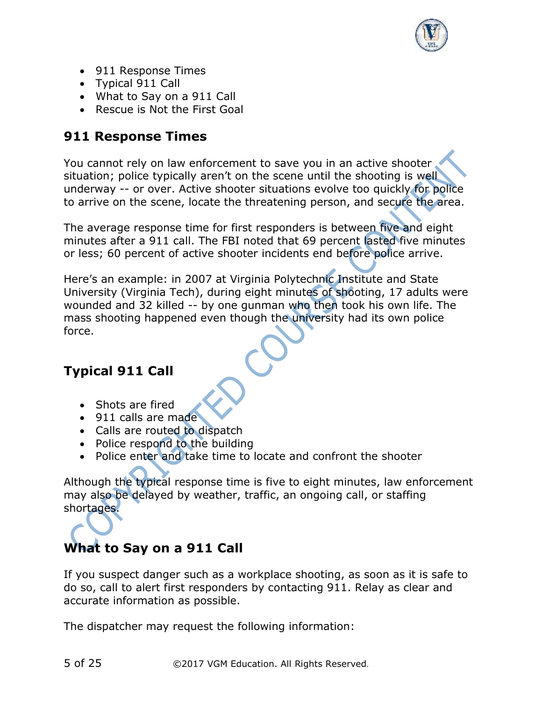

- 911 Response Times
- Typical 911 Call
- What to Say on a 911 Call
- Rescue is Not the First Goal

## **911 Response Times**

You cannot rely on law enforcement to save you in an active shooter situation; police typically aren't on the scene until the shooting is well underway -- or over. Active shooter situations evolve too quickly for police to arrive on the scene, locate the threatening person, and secure the area.

The average response time for first responders is between five and eight minutes after a 911 call. The FBI noted that 69 percent lasted five minutes or less; 60 percent of active shooter incidents end before police arrive.

Here's an example: in 2007 at Virginia Polytechnic Institute and State University (Virginia Tech), during eight minutes of shooting, 17 adults were wounded and 32 killed -- by one gunman who then took his own life. The mass shooting happened even though the university had its own police force.

## **Typical 911 Call**

- Shots are fired
- 911 calls are made
- Calls are routed to dispatch
- Police respond to the building
- Police enter and take time to locate and confront the shooter

Although the typical response time is five to eight minutes, law enforcement may also be delayed by weather, traffic, an ongoing call, or staffing shortages.

## **What to Say on a 911 Call**

If you suspect danger such as a workplace shooting, as soon as it is safe to do so, call to alert first responders by contacting 911. Relay as clear and accurate information as possible.

The dispatcher may request the following information: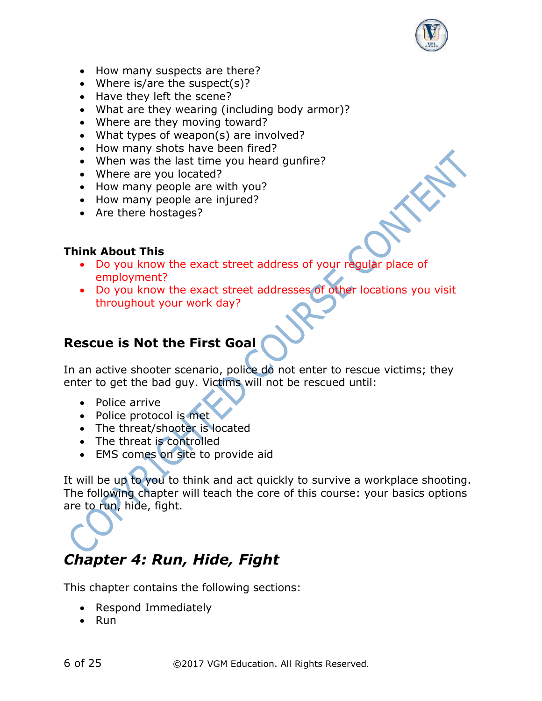

- How many suspects are there?
- Where is/are the suspect(s)?
- Have they left the scene?
- What are they wearing (including body armor)?
- Where are they moving toward?
- What types of weapon(s) are involved?
- How many shots have been fired?
- When was the last time you heard gunfire?
- Where are you located?
- How many people are with you?
- How many people are injured?
- Are there hostages?

#### **Think About This**

- Do you know the exact street address of your regular place of employment?
- Do you know the exact street addresses of other locations you visit throughout your work day?

#### **Rescue is Not the First Goal**

In an active shooter scenario, police do not enter to rescue victims; they enter to get the bad guy. Victims will not be rescued until:

- Police arrive
- Police protocol is met
- The threat/shooter is located
- The threat is controlled
- EMS comes on site to provide aid

It will be up to you to think and act quickly to survive a workplace shooting. The following chapter will teach the core of this course: your basics options are to run, hide, fight.

# *Chapter 4: Run, Hide, Fight*

This chapter contains the following sections:

- Respond Immediately
- Run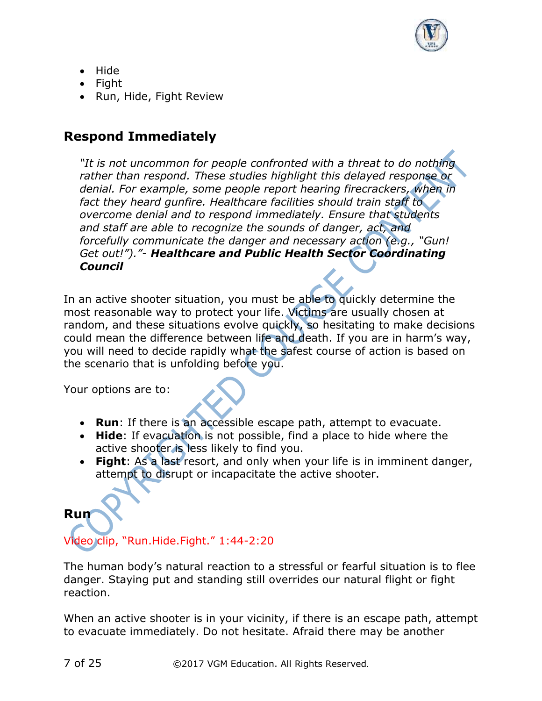

- Hide
- Fight
- Run, Hide, Fight Review

#### **Respond Immediately**

*"It is not uncommon for people confronted with a threat to do nothing rather than respond. These studies highlight this delayed response or denial. For example, some people report hearing firecrackers, when in fact they heard gunfire. Healthcare facilities should train staff to overcome denial and to respond immediately. Ensure that students and staff are able to recognize the sounds of danger, act, and forcefully communicate the danger and necessary action (e.g., "Gun! Get out!")."- Healthcare and Public Health Sector Coordinating Council*

In an active shooter situation, you must be able to quickly determine the most reasonable way to protect your life. Victims are usually chosen at random, and these situations evolve quickly, so hesitating to make decisions could mean the difference between life and death. If you are in harm's way, you will need to decide rapidly what the safest course of action is based on the scenario that is unfolding before you.

Your options are to:

- **Run**: If there is an accessible escape path, attempt to evacuate.
- **Hide**: If evacuation is not possible, find a place to hide where the active shooter is less likely to find you.
- **Fight**: As a last resort, and only when your life is in imminent danger, attempt to disrupt or incapacitate the active shooter.

# **Run** Video clip, "Run.Hide.Fight." 1:44-2:20

The human body's natural reaction to a stressful or fearful situation is to flee danger. Staying put and standing still overrides our natural flight or fight reaction.

When an active shooter is in your vicinity, if there is an escape path, attempt to evacuate immediately. Do not hesitate. Afraid there may be another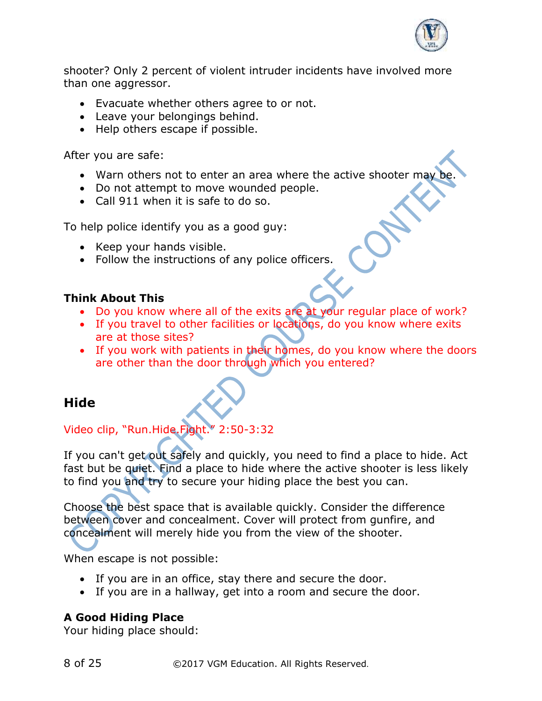

shooter? Only 2 percent of violent intruder incidents have involved more than one aggressor.

- Evacuate whether others agree to or not.
- Leave your belongings behind.
- Help others escape if possible.

After you are safe:

- Warn others not to enter an area where the active shooter may be
- Do not attempt to move wounded people.
- Call 911 when it is safe to do so.

To help police identify you as a good guy:

- Keep your hands visible.
- Follow the instructions of any police officers.

#### **Think About This**

- Do you know where all of the exits are at your regular place of work?
- If you travel to other facilities or locations, do you know where exits are at those sites?
- If you work with patients in their homes, do you know where the doors are other than the door through which you entered?

## **Hide**

## Video clip, "Run.Hide.Fight." 2:50-3:32

If you can't get out safely and quickly, you need to find a place to hide. Act fast but be quiet. Find a place to hide where the active shooter is less likely to find you and try to secure your hiding place the best you can.

Choose the best space that is available quickly. Consider the difference between cover and concealment. Cover will protect from gunfire, and concealment will merely hide you from the view of the shooter.

When escape is not possible:

- If you are in an office, stay there and secure the door.
- If you are in a hallway, get into a room and secure the door.

#### **A Good Hiding Place**

Your hiding place should: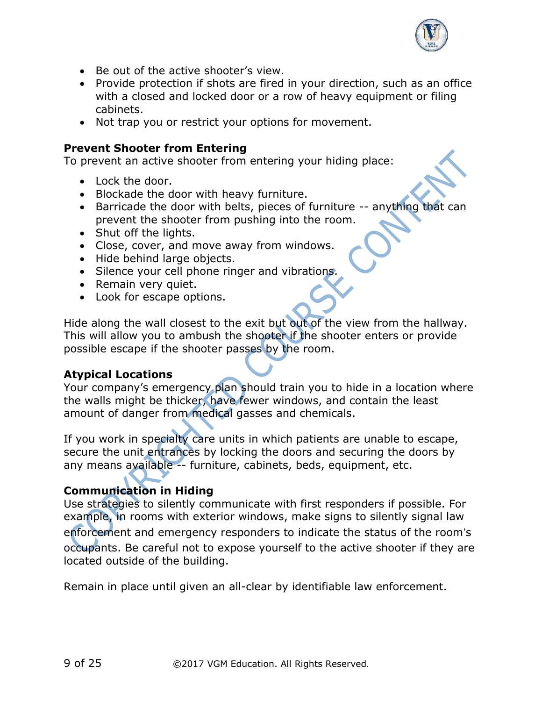

- Be out of the active shooter's view.
- Provide protection if shots are fired in your direction, such as an office with a closed and locked door or a row of heavy equipment or filing cabinets.
- Not trap you or restrict your options for movement.

#### **Prevent Shooter from Entering**

To prevent an active shooter from entering your hiding place:

- Lock the door.
- Blockade the door with heavy furniture.
- Barricade the door with belts, pieces of furniture -- anything that can prevent the shooter from pushing into the room.
- Shut off the lights.
- Close, cover, and move away from windows.
- Hide behind large objects.
- Silence your cell phone ringer and vibrations.
- Remain very quiet.
- Look for escape options.

Hide along the wall closest to the exit but out of the view from the hallway. This will allow you to ambush the shooter if the shooter enters or provide possible escape if the shooter passes by the room.

#### **Atypical Locations**

Your company's emergency plan should train you to hide in a location where the walls might be thicker, have fewer windows, and contain the least amount of danger from medical gasses and chemicals.

If you work in specialty care units in which patients are unable to escape, secure the unit entrances by locking the doors and securing the doors by any means available -- furniture, cabinets, beds, equipment, etc.

## **Communication in Hiding**

Use strategies to silently communicate with first responders if possible. For example, in rooms with exterior windows, make signs to silently signal law enforcement and emergency responders to indicate the status of the room's occupants. Be careful not to expose yourself to the active shooter if they are located outside of the building.

Remain in place until given an all-clear by identifiable law enforcement.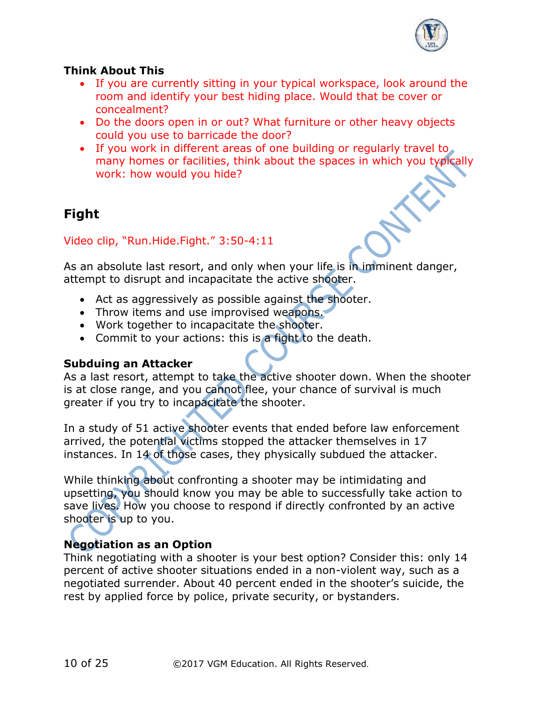

#### **Think About This**

- If you are currently sitting in your typical workspace, look around the room and identify your best hiding place. Would that be cover or concealment?
- Do the doors open in or out? What furniture or other heavy objects could you use to barricade the door?
- If you work in different areas of one building or regularly travel to many homes or facilities, think about the spaces in which you typically work: how would you hide?

## **Fight**

Video clip, "Run.Hide.Fight." 3:50-4:11

As an absolute last resort, and only when your life is in imminent danger, attempt to disrupt and incapacitate the active shooter.

- Act as aggressively as possible against the shooter.
- Throw items and use improvised weapons.
- Work together to incapacitate the shooter.
- Commit to your actions: this is a fight to the death.

#### **Subduing an Attacker**

As a last resort, attempt to take the active shooter down. When the shooter is at close range, and you cannot flee, your chance of survival is much greater if you try to incapacitate the shooter.

In a study of 51 active shooter events that ended before law enforcement arrived, the potential victims stopped the attacker themselves in 17 instances. In 14 of those cases, they physically subdued the attacker.

While thinking about confronting a shooter may be intimidating and upsetting, you should know you may be able to successfully take action to save lives. How you choose to respond if directly confronted by an active shooter is up to you.

#### **Negotiation as an Option**

Think negotiating with a shooter is your best option? Consider this: only 14 percent of active shooter situations ended in a non-violent way, such as a negotiated surrender. About 40 percent ended in the shooter's suicide, the rest by applied force by police, private security, or bystanders.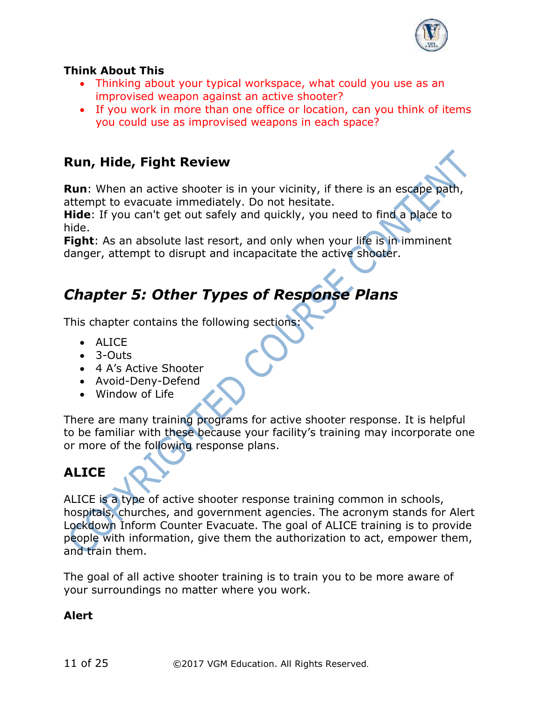

#### **Think About This**

- Thinking about your typical workspace, what could you use as an improvised weapon against an active shooter?
- If you work in more than one office or location, can you think of items you could use as improvised weapons in each space?

#### **Run, Hide, Fight Review**

**Run**: When an active shooter is in your vicinity, if there is an escape path, attempt to evacuate immediately. Do not hesitate.

**Hide**: If you can't get out safely and quickly, you need to find a place to hide.

Fight: As an absolute last resort, and only when your life is in imminent danger, attempt to disrupt and incapacitate the active shooter.

# *Chapter 5: Other Types of Response Plans*

This chapter contains the following sections:

- ALICE
- 3-Outs
- 4 A's Active Shooter
- Avoid-Deny-Defend
- Window of Life

There are many training programs for active shooter response. It is helpful to be familiar with these because your facility's training may incorporate one or more of the following response plans.

## **ALICE**

ALICE is a type of active shooter response training common in schools, hospitals, churches, and government agencies. The acronym stands for Alert Lockdown Inform Counter Evacuate. The goal of ALICE training is to provide people with information, give them the authorization to act, empower them, and train them.

The goal of all active shooter training is to train you to be more aware of your surroundings no matter where you work.

#### **Alert**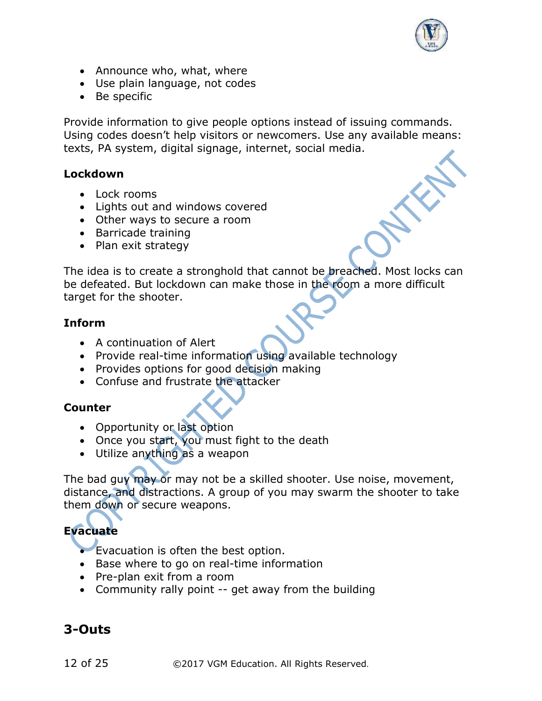

- Announce who, what, where
- Use plain language, not codes
- Be specific

Provide information to give people options instead of issuing commands. Using codes doesn't help visitors or newcomers. Use any available means: texts, PA system, digital signage, internet, social media.

#### **Lockdown**

- Lock rooms
- Lights out and windows covered
- Other ways to secure a room
- Barricade training
- Plan exit strategy

The idea is to create a stronghold that cannot be breached. Most locks can be defeated. But lockdown can make those in the room a more difficult target for the shooter.

#### **Inform**

- A continuation of Alert
- Provide real-time information using available technology
- Provides options for good decision making
- Confuse and frustrate the attacker

#### **Counter**

- Opportunity or last option
- Once you start, you must fight to the death
- Utilize anything as a weapon

The bad guy may or may not be a skilled shooter. Use noise, movement, distance, and distractions. A group of you may swarm the shooter to take them down or secure weapons.

#### **Evacuate**

- Evacuation is often the best option.
- Base where to go on real-time information
- Pre-plan exit from a room
- Community rally point -- get away from the building

## **3-Outs**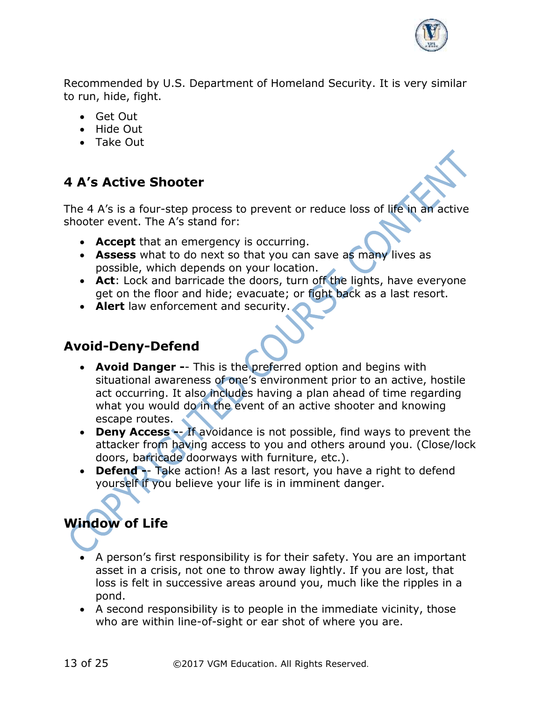

Recommended by U.S. Department of Homeland Security. It is very similar to run, hide, fight.

- Get Out
- Hide Out
- Take Out

## **4 A's Active Shooter**

The 4 A's is a four-step process to prevent or reduce loss of life in an active shooter event. The A's stand for:

- **Accept** that an emergency is occurring.
- **Assess** what to do next so that you can save as many lives as possible, which depends on your location.
- **Act**: Lock and barricade the doors, turn off the lights, have everyone get on the floor and hide; evacuate; or fight back as a last resort.
- **Alert** law enforcement and security.

#### **Avoid-Deny-Defend**

- **Avoid Danger -** This is the preferred option and begins with situational awareness of one's environment prior to an active, hostile act occurring. It also includes having a plan ahead of time regarding what you would do in the event of an active shooter and knowing escape routes.
- **Deny Access -** If avoidance is not possible, find ways to prevent the attacker from having access to you and others around you. (Close/lock doors, barricade doorways with furniture, etc.).
- **Defend** Take action! As a last resort, you have a right to defend yourself if you believe your life is in imminent danger.

## **Window of Life**

- A person's first responsibility is for their safety. You are an important asset in a crisis, not one to throw away lightly. If you are lost, that loss is felt in successive areas around you, much like the ripples in a pond.
- A second responsibility is to people in the immediate vicinity, those who are within line-of-sight or ear shot of where you are.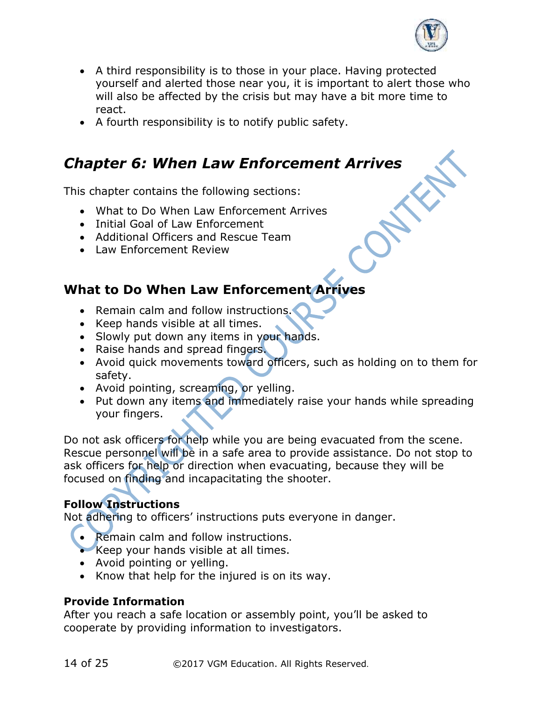

- A third responsibility is to those in your place. Having protected yourself and alerted those near you, it is important to alert those who will also be affected by the crisis but may have a bit more time to react.
- A fourth responsibility is to notify public safety.

# *Chapter 6: When Law Enforcement Arrives*

This chapter contains the following sections:

- What to Do When Law Enforcement Arrives
- Initial Goal of Law Enforcement
- Additional Officers and Rescue Team
- Law Enforcement Review

#### **What to Do When Law Enforcement Arrives**

- Remain calm and follow instructions.
- Keep hands visible at all times.
- Slowly put down any items in your hands.
- Raise hands and spread fingers.
- Avoid quick movements toward officers, such as holding on to them for safety.
- Avoid pointing, screaming, or yelling.
- Put down any items and immediately raise your hands while spreading your fingers.

Do not ask officers for help while you are being evacuated from the scene. Rescue personnel will be in a safe area to provide assistance. Do not stop to ask officers for help or direction when evacuating, because they will be focused on finding and incapacitating the shooter.

#### **Follow Instructions**

Not adhering to officers' instructions puts everyone in danger.

- Remain calm and follow instructions.
- Keep your hands visible at all times.
- Avoid pointing or yelling.
- Know that help for the injured is on its way.

#### **Provide Information**

After you reach a safe location or assembly point, you'll be asked to cooperate by providing information to investigators.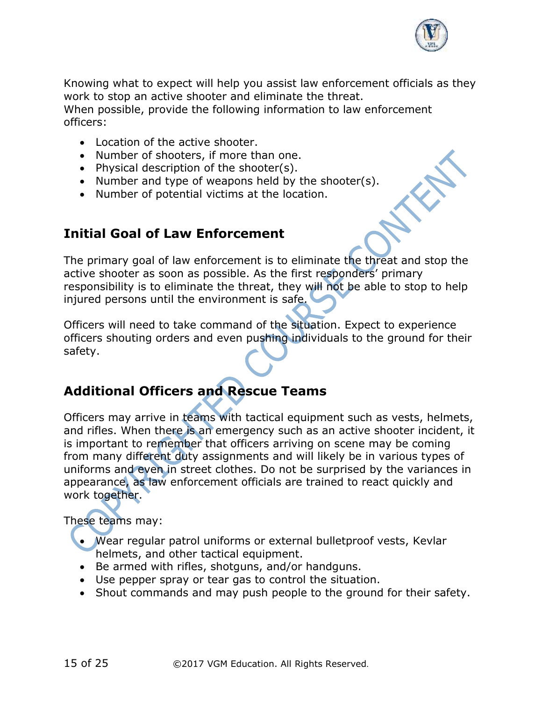

Knowing what to expect will help you assist law enforcement officials as they work to stop an active shooter and eliminate the threat.

When possible, provide the following information to law enforcement officers:

- Location of the active shooter.
- Number of shooters, if more than one.
- Physical description of the shooter(s).
- Number and type of weapons held by the shooter(s).
- Number of potential victims at the location.

#### **Initial Goal of Law Enforcement**

The primary goal of law enforcement is to eliminate the threat and stop the active shooter as soon as possible. As the first responders' primary responsibility is to eliminate the threat, they will not be able to stop to help injured persons until the environment is safe.

Officers will need to take command of the situation. Expect to experience officers shouting orders and even pushing individuals to the ground for their safety.

## **Additional Officers and Rescue Teams**

Officers may arrive in teams with tactical equipment such as vests, helmets, and rifles. When there is an emergency such as an active shooter incident, it is important to remember that officers arriving on scene may be coming from many different duty assignments and will likely be in various types of uniforms and even in street clothes. Do not be surprised by the variances in appearance, as law enforcement officials are trained to react quickly and work together.

#### These teams may:

- Wear regular patrol uniforms or external bulletproof vests, Kevlar helmets, and other tactical equipment.
- Be armed with rifles, shotguns, and/or handguns.
- Use pepper spray or tear gas to control the situation.
- Shout commands and may push people to the ground for their safety.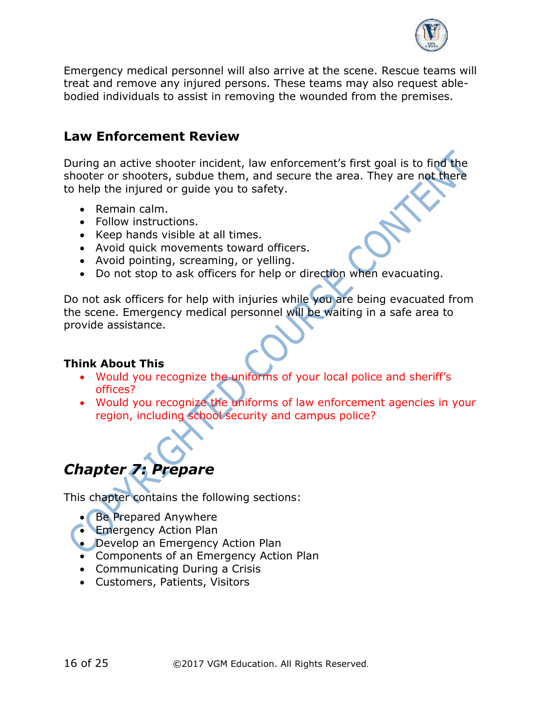

Emergency medical personnel will also arrive at the scene. Rescue teams will treat and remove any injured persons. These teams may also request ablebodied individuals to assist in removing the wounded from the premises.

#### **Law Enforcement Review**

During an active shooter incident, law enforcement's first goal is to find the shooter or shooters, subdue them, and secure the area. They are not there to help the injured or guide you to safety.

- Remain calm.
- Follow instructions.
- Keep hands visible at all times.
- Avoid quick movements toward officers.
- Avoid pointing, screaming, or yelling.
- Do not stop to ask officers for help or direction when evacuating.

Do not ask officers for help with injuries while you are being evacuated from the scene. Emergency medical personnel will be waiting in a safe area to provide assistance.

#### **Think About This**

- Would you recognize the uniforms of your local police and sheriff's offices?
- Would you recognize the uniforms of law enforcement agencies in your region, including school security and campus police?



This chapter contains the following sections:

- Be Prepared Anywhere
- **Emergency Action Plan**
- Develop an Emergency Action Plan
- Components of an Emergency Action Plan
- Communicating During a Crisis
- Customers, Patients, Visitors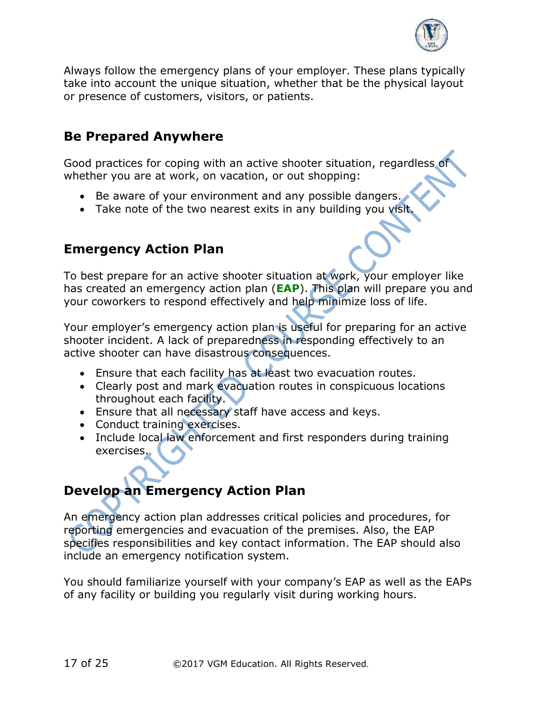

Always follow the emergency plans of your employer. These plans typically take into account the unique situation, whether that be the physical layout or presence of customers, visitors, or patients.

#### **Be Prepared Anywhere**

Good practices for coping with an active shooter situation, regardless of whether you are at work, on vacation, or out shopping:

- Be aware of your environment and any possible dangers.
- Take note of the two nearest exits in any building you visit.

## **Emergency Action Plan**

To best prepare for an active shooter situation at work, your employer like has created an emergency action plan (**EAP**). This plan will prepare you and your coworkers to respond effectively and help minimize loss of life.

Your employer's emergency action plan is useful for preparing for an active shooter incident. A lack of preparedness in responding effectively to an active shooter can have disastrous consequences.

- Ensure that each facility has at least two evacuation routes.
- Clearly post and mark evacuation routes in conspicuous locations throughout each facility.
- Ensure that all necessary staff have access and keys.
- Conduct training exercises.
- Include local law enforcement and first responders during training exercises.

# **Develop an Emergency Action Plan**

An emergency action plan addresses critical policies and procedures, for reporting emergencies and evacuation of the premises. Also, the EAP specifies responsibilities and key contact information. The EAP should also include an emergency notification system.

You should familiarize yourself with your company's EAP as well as the EAPs of any facility or building you regularly visit during working hours.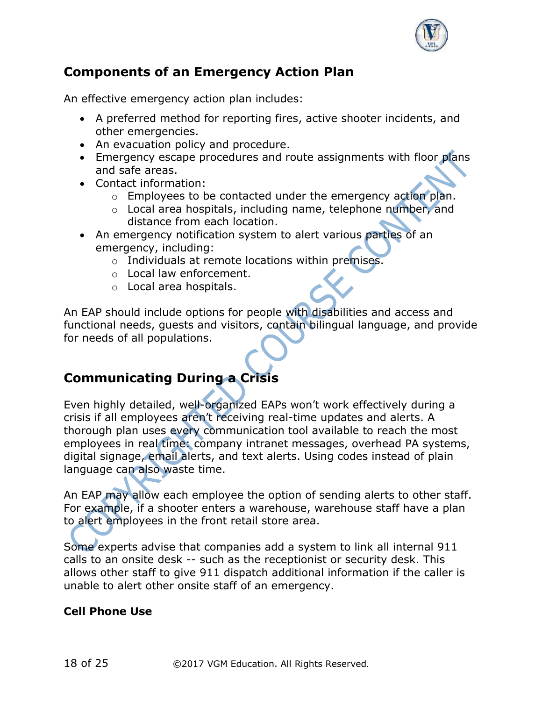

## **Components of an Emergency Action Plan**

An effective emergency action plan includes:

- A preferred method for reporting fires, active shooter incidents, and other emergencies.
- An evacuation policy and procedure.
- Emergency escape procedures and route assignments with floor plans and safe areas.
- Contact information:
	- o Employees to be contacted under the emergency action plan.
	- o Local area hospitals, including name, telephone number, and distance from each location.
- An emergency notification system to alert various parties of an emergency, including:
	- o Individuals at remote locations within premises.
	- o Local law enforcement.
	- o Local area hospitals.

An EAP should include options for people with disabilities and access and functional needs, guests and visitors, contain bilingual language, and provide for needs of all populations.

## **Communicating During a Crisis**

Even highly detailed, well-organized EAPs won't work effectively during a crisis if all employees aren't receiving real-time updates and alerts. A thorough plan uses every communication tool available to reach the most employees in real time: company intranet messages, overhead PA systems, digital signage, email alerts, and text alerts. Using codes instead of plain language can also waste time.

An EAP may allow each employee the option of sending alerts to other staff. For example, if a shooter enters a warehouse, warehouse staff have a plan to alert employees in the front retail store area.

Some experts advise that companies add a system to link all internal 911 calls to an onsite desk -- such as the receptionist or security desk. This allows other staff to give 911 dispatch additional information if the caller is unable to alert other onsite staff of an emergency.

#### **Cell Phone Use**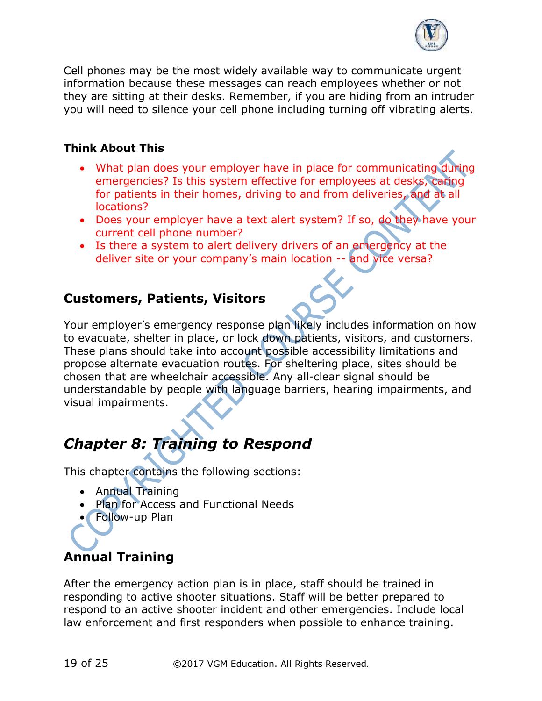

Cell phones may be the most widely available way to communicate urgent information because these messages can reach employees whether or not they are sitting at their desks. Remember, if you are hiding from an intruder you will need to silence your cell phone including turning off vibrating alerts.

#### **Think About This**

- What plan does your employer have in place for communicating during emergencies? Is this system effective for employees at desks, caring for patients in their homes, driving to and from deliveries, and at all locations?
- Does your employer have a text alert system? If so, do they have your current cell phone number?
- Is there a system to alert delivery drivers of an emergency at the deliver site or your company's main location -- and vice versa?

#### **Customers, Patients, Visitors**

Your employer's emergency response plan likely includes information on how to evacuate, shelter in place, or lock down patients, visitors, and customers. These plans should take into account possible accessibility limitations and propose alternate evacuation routes. For sheltering place, sites should be chosen that are wheelchair accessible. Any all-clear signal should be understandable by people with language barriers, hearing impairments, and visual impairments.

# *Chapter 8: Training to Respond*

This chapter contains the following sections:

- Annual Training
- Plan for Access and Functional Needs
- Follow-up Plan

## **Annual Training**

After the emergency action plan is in place, staff should be trained in responding to active shooter situations. Staff will be better prepared to respond to an active shooter incident and other emergencies. Include local law enforcement and first responders when possible to enhance training.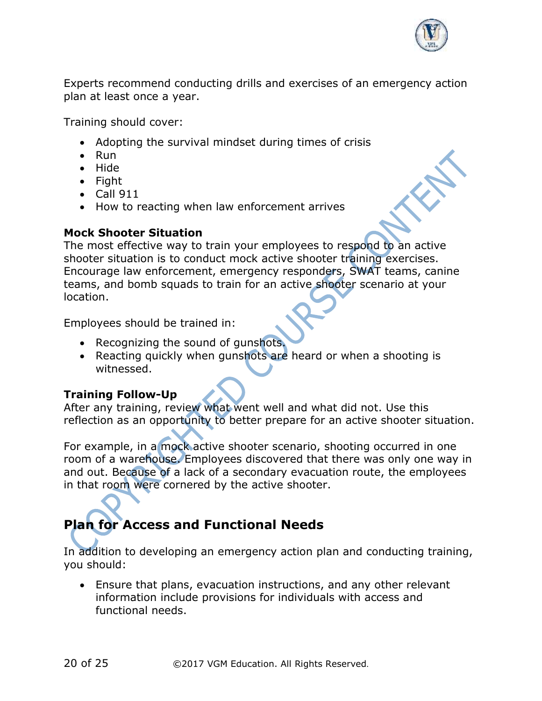

Experts recommend conducting drills and exercises of an emergency action plan at least once a year.

Training should cover:

- Adopting the survival mindset during times of crisis
- Run
- Hide
- Fight
- Call 911
- How to reacting when law enforcement arrives

#### **Mock Shooter Situation**

The most effective way to train your employees to respond to an active shooter situation is to conduct mock active shooter training exercises. Encourage law enforcement, emergency responders, SWAT teams, canine teams, and bomb squads to train for an active shooter scenario at your location.

Employees should be trained in:

- Recognizing the sound of gunshots.
- Reacting quickly when gunshots are heard or when a shooting is witnessed.

#### **Training Follow-Up**

After any training, review what went well and what did not. Use this reflection as an opportunity to better prepare for an active shooter situation.

For example, in a mock active shooter scenario, shooting occurred in one room of a warehouse. Employees discovered that there was only one way in and out. Because of a lack of a secondary evacuation route, the employees in that room were cornered by the active shooter.

# **Plan for Access and Functional Needs**

In addition to developing an emergency action plan and conducting training, you should:

• Ensure that plans, evacuation instructions, and any other relevant information include provisions for individuals with access and functional needs.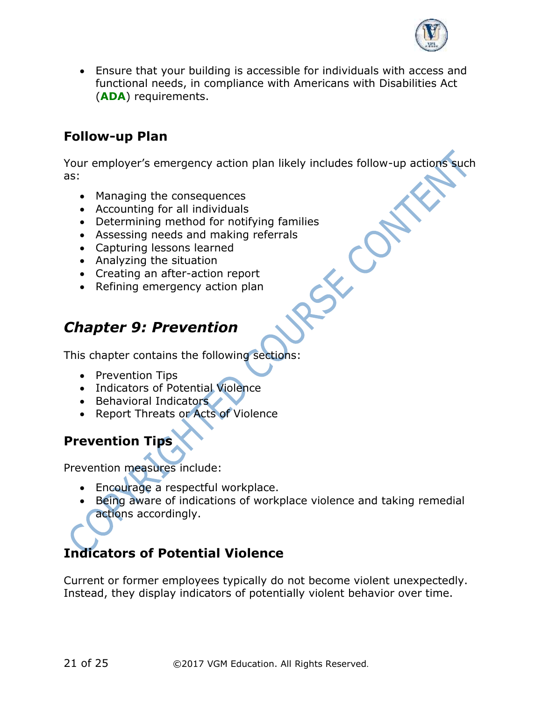

• Ensure that your building is accessible for individuals with access and functional needs, in compliance with Americans with Disabilities Act (**ADA**) requirements.

#### **Follow-up Plan**

Your employer's emergency action plan likely includes follow-up actions such as:

SEC

- Managing the consequences
- Accounting for all individuals
- Determining method for notifying families
- Assessing needs and making referrals
- Capturing lessons learned
- Analyzing the situation
- Creating an after-action report
- Refining emergency action plan

## *Chapter 9: Prevention*

This chapter contains the following sections:

- Prevention Tips
- Indicators of Potential Violence
- Behavioral Indicators
- Report Threats or Acts of Violence

## **Prevention Tips**

Prevention measures include:

- Encourage a respectful workplace.
- Being aware of indications of workplace violence and taking remedial actions accordingly.

# **Indicators of Potential Violence**

Current or former employees typically do not become violent unexpectedly. Instead, they display indicators of potentially violent behavior over time.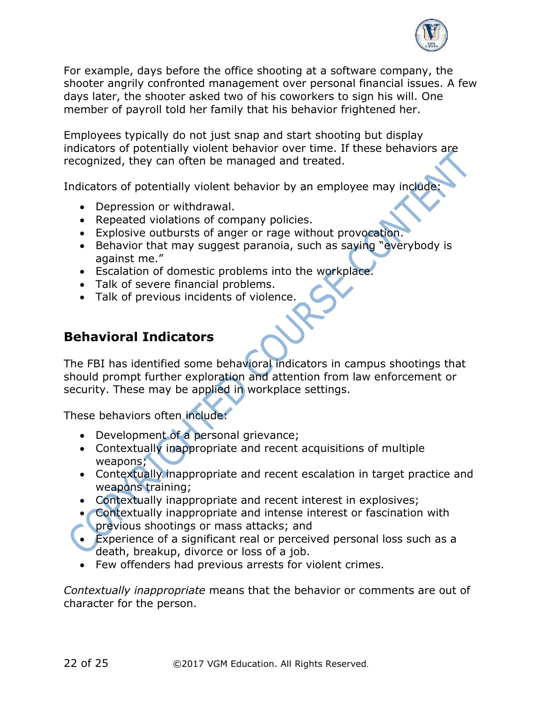

For example, days before the office shooting at a software company, the shooter angrily confronted management over personal financial issues. A few days later, the shooter asked two of his coworkers to sign his will. One member of payroll told her family that his behavior frightened her.

Employees typically do not just snap and start shooting but display indicators of potentially violent behavior over time. If these behaviors are recognized, they can often be managed and treated.

Indicators of potentially violent behavior by an employee may include:

- Depression or withdrawal.
- Repeated violations of company policies.
- Explosive outbursts of anger or rage without provocation.
- Behavior that may suggest paranoia, such as saying "everybody is against me."
- Escalation of domestic problems into the workplace.
- Talk of severe financial problems.
- Talk of previous incidents of violence.

## **Behavioral Indicators**

The FBI has identified some behavioral indicators in campus shootings that should prompt further exploration and attention from law enforcement or security. These may be applied in workplace settings.

These behaviors often include:

- Development of a personal grievance;
- Contextually inappropriate and recent acquisitions of multiple weapons;
- Contextually inappropriate and recent escalation in target practice and weapons training;
- Contextually inappropriate and recent interest in explosives;
- Contextually inappropriate and intense interest or fascination with
- **previous shootings or mass attacks; and**
- Experience of a significant real or perceived personal loss such as a death, breakup, divorce or loss of a job.
- Few offenders had previous arrests for violent crimes.

*Contextually inappropriate* means that the behavior or comments are out of character for the person.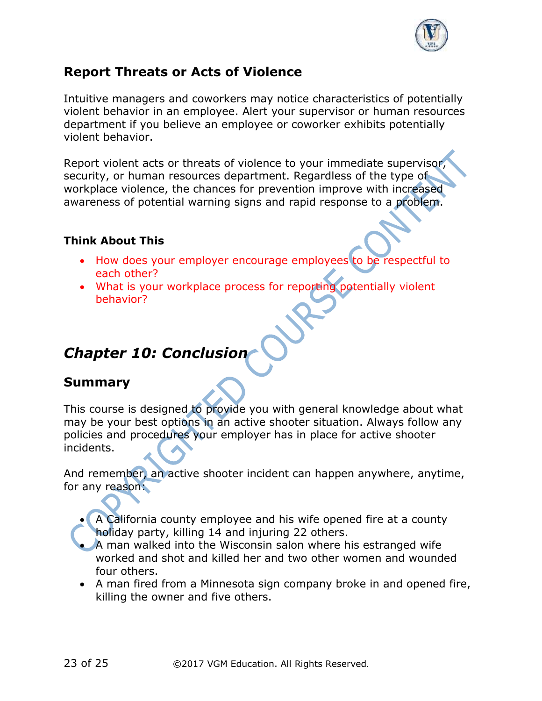

## **Report Threats or Acts of Violence**

Intuitive managers and coworkers may notice characteristics of potentially violent behavior in an employee. Alert your supervisor or human resources department if you believe an employee or coworker exhibits potentially violent behavior.

Report violent acts or threats of violence to your immediate supervisor, security, or human resources department. Regardless of the type of workplace violence, the chances for prevention improve with increased awareness of potential warning signs and rapid response to a problem.

#### **Think About This**

- How does your employer encourage employees to be respectful to each other?
- What is your workplace process for reporting potentially violent behavior?

# *Chapter 10: Conclusion*

## **Summary**

This course is designed to provide you with general knowledge about what may be your best options in an active shooter situation. Always follow any policies and procedures your employer has in place for active shooter incidents.

And remember, an active shooter incident can happen anywhere, anytime, for any reason:

- A California county employee and his wife opened fire at a county holiday party, killing 14 and injuring 22 others.
- A man walked into the Wisconsin salon where his estranged wife worked and shot and killed her and two other women and wounded four others.
- A man fired from a Minnesota sign company broke in and opened fire, killing the owner and five others.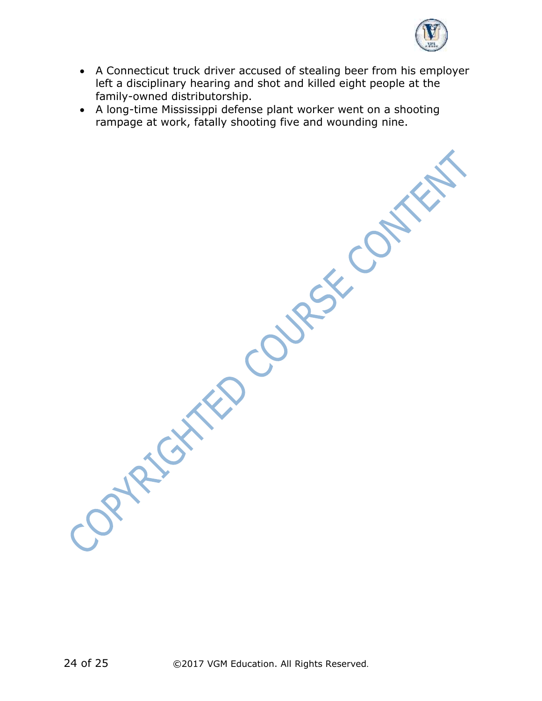

• A Connecticut truck driver accused of stealing beer from his employer left a disciplinary hearing and shot and killed eight people at the family-owned distributorship.

Joypeton Ko Coupex Contract

• A long-time Mississippi defense plant worker went on a shooting rampage at work, fatally shooting five and wounding nine.

24 of 25 ©2017 VGM Education. All Rights Reserved.